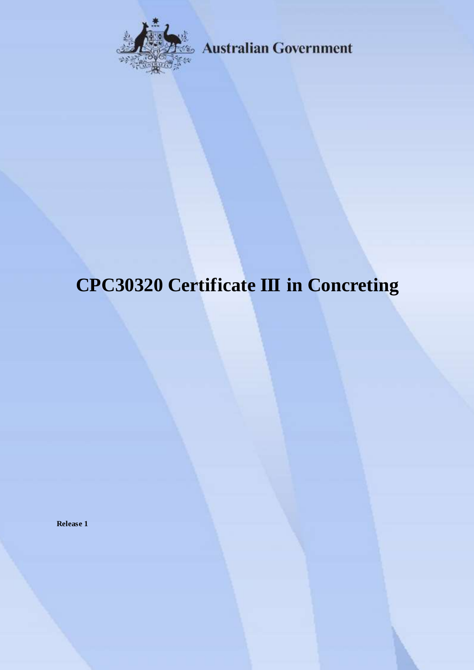

**Australian Government** 

# **CPC30320 Certificate III in Concreting**

**Release 1**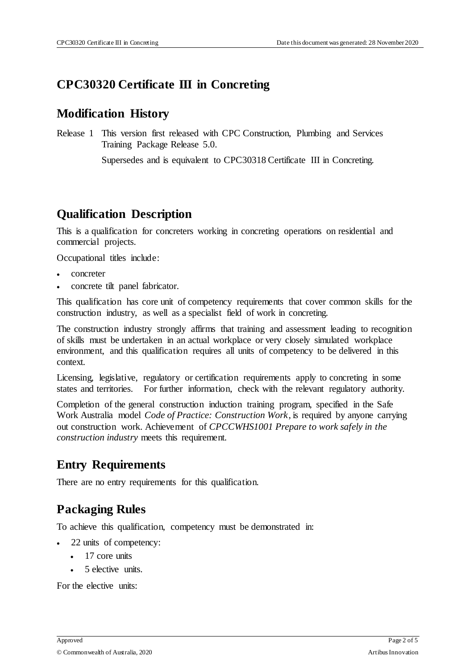## **CPC30320 Certificate III in Concreting**

## **Modification History**

Release 1 This version first released with CPC Construction, Plumbing and Services Training Package Release 5.0.

Supersedes and is equivalent to CPC30318 Certificate III in Concreting.

## **Qualification Description**

This is a qualification for concreters working in concreting operations on residential and commercial projects.

Occupational titles include:

- concreter
- concrete tilt panel fabricator.

This qualification has core unit of competency requirements that cover common skills for the construction industry, as well as a specialist field of work in concreting.

The construction industry strongly affirms that training and assessment leading to recognition of skills must be undertaken in an actual workplace or very closely simulated workplace environment, and this qualification requires all units of competency to be delivered in this context.

Licensing, legislative, regulatory or certification requirements apply to concreting in some states and territories. For further information, check with the relevant regulatory authority.

Completion of the general construction induction training program, specified in the Safe Work Australia model *Code of Practice: Construction Work*, is required by anyone carrying out construction work. Achievement of *CPCCWHS1001 Prepare to work safely in the construction industry* meets this requirement.

## **Entry Requirements**

There are no entry requirements for this qualification.

# **Packaging Rules**

To achieve this qualification, competency must be demonstrated in:

- 22 units of competency:
	- 17 core units
	- 5 elective units.

For the elective units: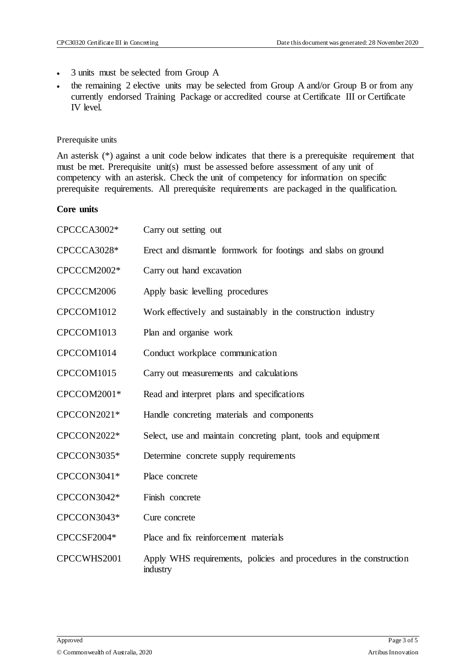- 3 units must be selected from Group A
- the remaining 2 elective units may be selected from Group A and/or Group B or from any currently endorsed Training Package or accredited course at Certificate III or Certificate IV level.

#### Prerequisite units

An asterisk (\*) against a unit code below indicates that there is a prerequisite requirement that must be met. Prerequisite unit(s) must be assessed before assessment of any unit of competency with an asterisk. Check the unit of competency for information on specific prerequisite requirements. All prerequisite requirements are packaged in the qualification.

#### **Core units**

| CPCCCA3002* | Carry out setting out                                                           |
|-------------|---------------------------------------------------------------------------------|
| CPCCCA3028* | Erect and dismantle formwork for footings and slabs on ground                   |
| CPCCCM2002* | Carry out hand excavation                                                       |
| CPCCCM2006  | Apply basic levelling procedures                                                |
| CPCCOM1012  | Work effectively and sustainably in the construction industry                   |
| CPCCOM1013  | Plan and organise work                                                          |
| CPCCOM1014  | Conduct workplace communication                                                 |
| CPCCOM1015  | Carry out measurements and calculations                                         |
| CPCCOM2001* | Read and interpret plans and specifications                                     |
| CPCCON2021* | Handle concreting materials and components                                      |
| CPCCON2022* | Select, use and maintain concreting plant, tools and equipment                  |
| CPCCON3035* | Determine concrete supply requirements                                          |
| CPCCON3041* | Place concrete                                                                  |
| CPCCON3042* | Finish concrete                                                                 |
| CPCCON3043* | Cure concrete                                                                   |
| CPCCSF2004* | Place and fix reinforcement materials                                           |
| CPCCWHS2001 | Apply WHS requirements, policies and procedures in the construction<br>industry |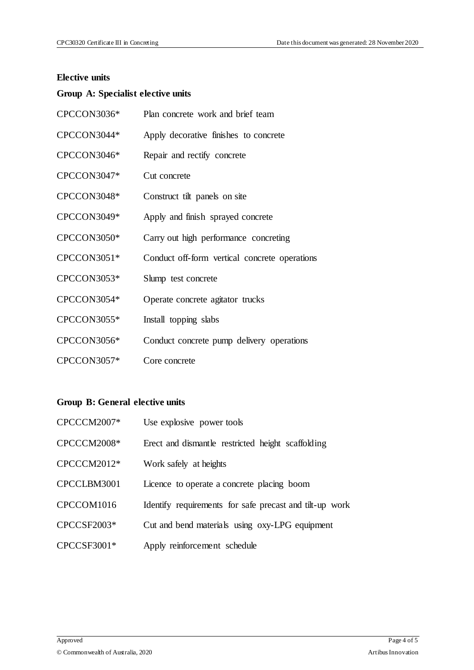#### **Elective units**

## **Group A: Specialist elective units**

| CPCCON3036* | Plan concrete work and brief team             |
|-------------|-----------------------------------------------|
| CPCCON3044* | Apply decorative finishes to concrete         |
| CPCCON3046* | Repair and rectify concrete                   |
| CPCCON3047* | Cut concrete                                  |
| CPCCON3048* | Construct tilt panels on site                 |
| CPCCON3049* | Apply and finish sprayed concrete             |
| CPCCON3050* | Carry out high performance concreting         |
| CPCCON3051* | Conduct off-form vertical concrete operations |
| CPCCON3053* | Slump test concrete                           |
| CPCCON3054* | Operate concrete agitator trucks              |
| CPCCON3055* | Install topping slabs                         |
| CPCCON3056* | Conduct concrete pump delivery operations     |
| CPCCON3057* | Core concrete                                 |

## **Group B: General elective units**

| CPCCCM2007*   | Use explosive power tools                               |
|---------------|---------------------------------------------------------|
| CPCCCM2008*   | Erect and dismantle restricted height scaffolding       |
| $CPCCCM2012*$ | Work safely at heights                                  |
| CPCCLBM3001   | Licence to operate a concrete placing boom              |
| CPCCOM1016    | Identify requirements for safe precast and tilt-up work |
| CPCCSF2003*   | Cut and bend materials using oxy-LPG equipment          |
| CPCCSF3001*   | Apply reinforcement schedule                            |